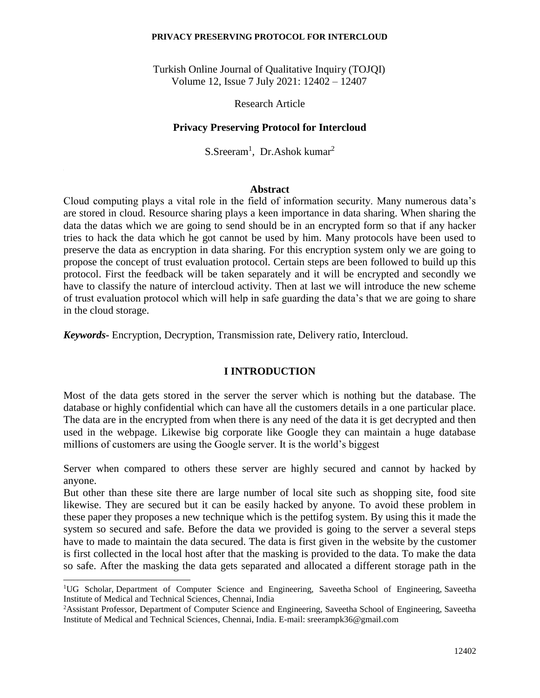#### **PRIVACY PRESERVING PROTOCOL FOR INTERCLOUD**

Turkish Online Journal of Qualitative Inquiry (TOJQI) Volume 12, Issue 7 July 2021: 12402 – 12407

Research Article

### **Privacy Preserving Protocol for Intercloud**

S.Sreeram<sup>1</sup>, Dr.Ashok kumar<sup>2</sup>

### **Abstract**

Cloud computing plays a vital role in the field of information security. Many numerous data's are stored in cloud. Resource sharing plays a keen importance in data sharing. When sharing the data the datas which we are going to send should be in an encrypted form so that if any hacker tries to hack the data which he got cannot be used by him. Many protocols have been used to preserve the data as encryption in data sharing. For this encryption system only we are going to propose the concept of trust evaluation protocol. Certain steps are been followed to build up this protocol. First the feedback will be taken separately and it will be encrypted and secondly we have to classify the nature of intercloud activity. Then at last we will introduce the new scheme of trust evaluation protocol which will help in safe guarding the data's that we are going to share in the cloud storage.

*Keywords-* Encryption, Decryption, Transmission rate, Delivery ratio, Intercloud.

### **I INTRODUCTION**

Most of the data gets stored in the server the server which is nothing but the database. The database or highly confidential which can have all the customers details in a one particular place. The data are in the encrypted from when there is any need of the data it is get decrypted and then used in the webpage. Likewise big corporate like Google they can maintain a huge database millions of customers are using the Google server. It is the world's biggest

Server when compared to others these server are highly secured and cannot by hacked by anyone.

But other than these site there are large number of local site such as shopping site, food site likewise. They are secured but it can be easily hacked by anyone. To avoid these problem in these paper they proposes a new technique which is the pettifog system. By using this it made the system so secured and safe. Before the data we provided is going to the server a several steps have to made to maintain the data secured. The data is first given in the website by the customer is first collected in the local host after that the masking is provided to the data. To make the data so safe. After the masking the data gets separated and allocated a different storage path in the

l

<sup>1</sup>UG Scholar, Department of Computer Science and Engineering, Saveetha School of Engineering, Saveetha Institute of Medical and Technical Sciences, Chennai, India

<sup>2</sup>Assistant Professor, Department of Computer Science and Engineering, Saveetha School of Engineering, Saveetha Institute of Medical and Technical Sciences, Chennai, India. E-mail: sreerampk36@gmail.com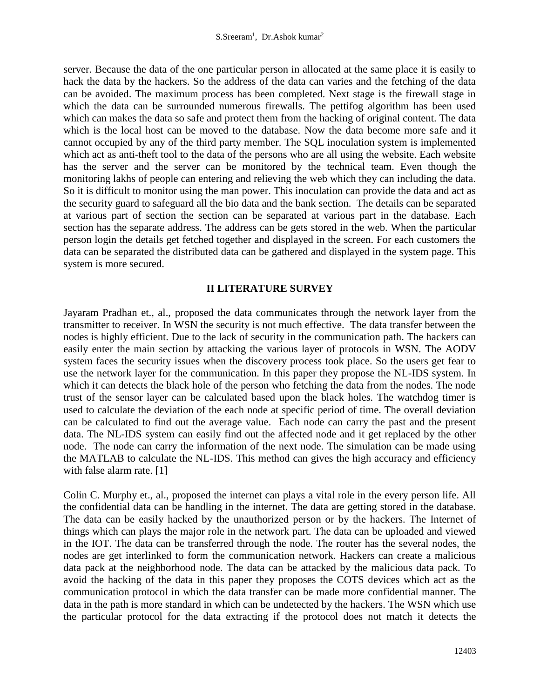server. Because the data of the one particular person in allocated at the same place it is easily to hack the data by the hackers. So the address of the data can varies and the fetching of the data can be avoided. The maximum process has been completed. Next stage is the firewall stage in which the data can be surrounded numerous firewalls. The pettifog algorithm has been used which can makes the data so safe and protect them from the hacking of original content. The data which is the local host can be moved to the database. Now the data become more safe and it cannot occupied by any of the third party member. The SQL inoculation system is implemented which act as anti-theft tool to the data of the persons who are all using the website. Each website has the server and the server can be monitored by the technical team. Even though the monitoring lakhs of people can entering and relieving the web which they can including the data. So it is difficult to monitor using the man power. This inoculation can provide the data and act as the security guard to safeguard all the bio data and the bank section. The details can be separated at various part of section the section can be separated at various part in the database. Each section has the separate address. The address can be gets stored in the web. When the particular person login the details get fetched together and displayed in the screen. For each customers the data can be separated the distributed data can be gathered and displayed in the system page. This system is more secured.

## **II LITERATURE SURVEY**

Jayaram Pradhan et., al., proposed the data communicates through the network layer from the transmitter to receiver. In WSN the security is not much effective. The data transfer between the nodes is highly efficient. Due to the lack of security in the communication path. The hackers can easily enter the main section by attacking the various layer of protocols in WSN. The AODV system faces the security issues when the discovery process took place. So the users get fear to use the network layer for the communication. In this paper they propose the NL-IDS system. In which it can detects the black hole of the person who fetching the data from the nodes. The node trust of the sensor layer can be calculated based upon the black holes. The watchdog timer is used to calculate the deviation of the each node at specific period of time. The overall deviation can be calculated to find out the average value. Each node can carry the past and the present data. The NL-IDS system can easily find out the affected node and it get replaced by the other node. The node can carry the information of the next node. The simulation can be made using the MATLAB to calculate the NL-IDS. This method can gives the high accuracy and efficiency with false alarm rate. [1]

Colin C. Murphy et., al., proposed the internet can plays a vital role in the every person life. All the confidential data can be handling in the internet. The data are getting stored in the database. The data can be easily hacked by the unauthorized person or by the hackers. The Internet of things which can plays the major role in the network part. The data can be uploaded and viewed in the IOT. The data can be transferred through the node. The router has the several nodes, the nodes are get interlinked to form the communication network. Hackers can create a malicious data pack at the neighborhood node. The data can be attacked by the malicious data pack. To avoid the hacking of the data in this paper they proposes the COTS devices which act as the communication protocol in which the data transfer can be made more confidential manner. The data in the path is more standard in which can be undetected by the hackers. The WSN which use the particular protocol for the data extracting if the protocol does not match it detects the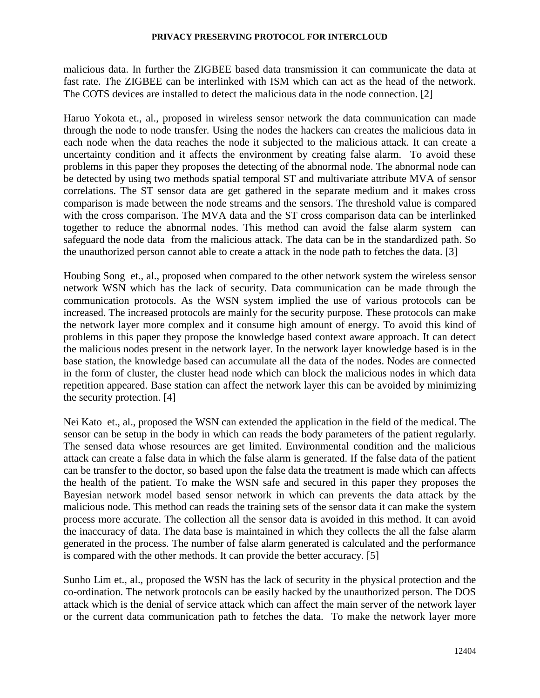### **PRIVACY PRESERVING PROTOCOL FOR INTERCLOUD**

malicious data. In further the ZIGBEE based data transmission it can communicate the data at fast rate. The ZIGBEE can be interlinked with ISM which can act as the head of the network. The COTS devices are installed to detect the malicious data in the node connection. [2]

Haruo Yokota et., al., proposed in wireless sensor network the data communication can made through the node to node transfer. Using the nodes the hackers can creates the malicious data in each node when the data reaches the node it subjected to the malicious attack. It can create a uncertainty condition and it affects the environment by creating false alarm. To avoid these problems in this paper they proposes the detecting of the abnormal node. The abnormal node can be detected by using two methods spatial temporal ST and multivariate attribute MVA of sensor correlations. The ST sensor data are get gathered in the separate medium and it makes cross comparison is made between the node streams and the sensors. The threshold value is compared with the cross comparison. The MVA data and the ST cross comparison data can be interlinked together to reduce the abnormal nodes. This method can avoid the false alarm system can safeguard the node data from the malicious attack. The data can be in the standardized path. So the unauthorized person cannot able to create a attack in the node path to fetches the data. [3]

Houbing Song et., al., proposed when compared to the other network system the wireless sensor network WSN which has the lack of security. Data communication can be made through the communication protocols. As the WSN system implied the use of various protocols can be increased. The increased protocols are mainly for the security purpose. These protocols can make the network layer more complex and it consume high amount of energy. To avoid this kind of problems in this paper they propose the knowledge based context aware approach. It can detect the malicious nodes present in the network layer. In the network layer knowledge based is in the base station, the knowledge based can accumulate all the data of the nodes. Nodes are connected in the form of cluster, the cluster head node which can block the malicious nodes in which data repetition appeared. Base station can affect the network layer this can be avoided by minimizing the security protection. [4]

Nei Kato et., al., proposed the WSN can extended the application in the field of the medical. The sensor can be setup in the body in which can reads the body parameters of the patient regularly. The sensed data whose resources are get limited. Environmental condition and the malicious attack can create a false data in which the false alarm is generated. If the false data of the patient can be transfer to the doctor, so based upon the false data the treatment is made which can affects the health of the patient. To make the WSN safe and secured in this paper they proposes the Bayesian network model based sensor network in which can prevents the data attack by the malicious node. This method can reads the training sets of the sensor data it can make the system process more accurate. The collection all the sensor data is avoided in this method. It can avoid the inaccuracy of data. The data base is maintained in which they collects the all the false alarm generated in the process. The number of false alarm generated is calculated and the performance is compared with the other methods. It can provide the better accuracy. [5]

Sunho Lim et., al., proposed the WSN has the lack of security in the physical protection and the co-ordination. The network protocols can be easily hacked by the unauthorized person. The DOS attack which is the denial of service attack which can affect the main server of the network layer or the current data communication path to fetches the data. To make the network layer more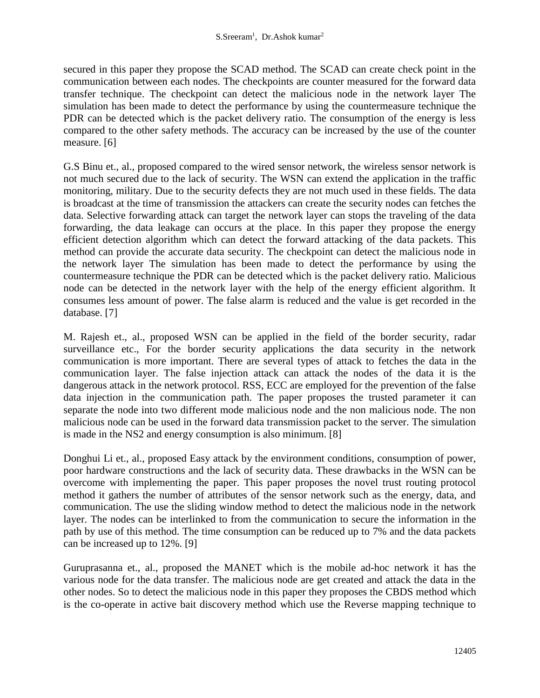secured in this paper they propose the SCAD method. The SCAD can create check point in the communication between each nodes. The checkpoints are counter measured for the forward data transfer technique. The checkpoint can detect the malicious node in the network layer The simulation has been made to detect the performance by using the countermeasure technique the PDR can be detected which is the packet delivery ratio. The consumption of the energy is less compared to the other safety methods. The accuracy can be increased by the use of the counter measure. [6]

G.S Binu et., al., proposed compared to the wired sensor network, the wireless sensor network is not much secured due to the lack of security. The WSN can extend the application in the traffic monitoring, military. Due to the security defects they are not much used in these fields. The data is broadcast at the time of transmission the attackers can create the security nodes can fetches the data. Selective forwarding attack can target the network layer can stops the traveling of the data forwarding, the data leakage can occurs at the place. In this paper they propose the energy efficient detection algorithm which can detect the forward attacking of the data packets. This method can provide the accurate data security. The checkpoint can detect the malicious node in the network layer The simulation has been made to detect the performance by using the countermeasure technique the PDR can be detected which is the packet delivery ratio. Malicious node can be detected in the network layer with the help of the energy efficient algorithm. It consumes less amount of power. The false alarm is reduced and the value is get recorded in the database. [7]

M. Rajesh et., al., proposed WSN can be applied in the field of the border security, radar surveillance etc., For the border security applications the data security in the network communication is more important. There are several types of attack to fetches the data in the communication layer. The false injection attack can attack the nodes of the data it is the dangerous attack in the network protocol. RSS, ECC are employed for the prevention of the false data injection in the communication path. The paper proposes the trusted parameter it can separate the node into two different mode malicious node and the non malicious node. The non malicious node can be used in the forward data transmission packet to the server. The simulation is made in the NS2 and energy consumption is also minimum. [8]

Donghui Li et., al., proposed Easy attack by the environment conditions, consumption of power, poor hardware constructions and the lack of security data. These drawbacks in the WSN can be overcome with implementing the paper. This paper proposes the novel trust routing protocol method it gathers the number of attributes of the sensor network such as the energy, data, and communication. The use the sliding window method to detect the malicious node in the network layer. The nodes can be interlinked to from the communication to secure the information in the path by use of this method. The time consumption can be reduced up to 7% and the data packets can be increased up to 12%. [9]

[Guruprasanna](https://ieeexplore.ieee.org/author/37086104472) et., al., proposed the MANET which is the mobile ad-hoc network it has the various node for the data transfer. The malicious node are get created and attack the data in the other nodes. So to detect the malicious node in this paper they proposes the CBDS method which is the co-operate in active bait discovery method which use the Reverse mapping technique to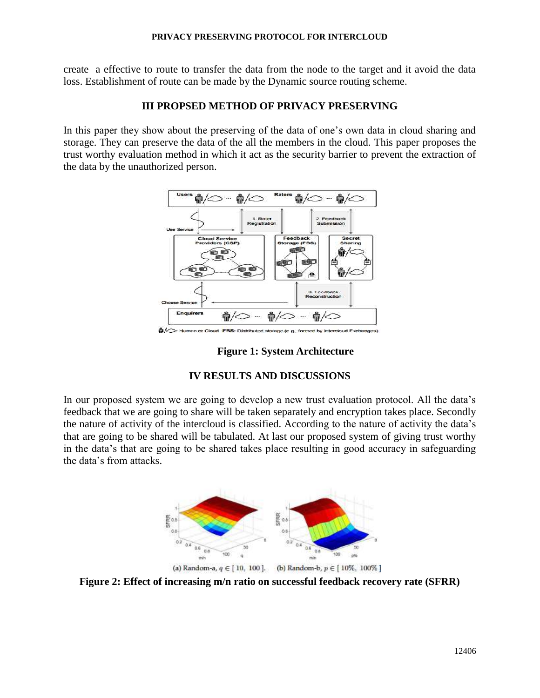### **PRIVACY PRESERVING PROTOCOL FOR INTERCLOUD**

create a effective to route to transfer the data from the node to the target and it avoid the data loss. Establishment of route can be made by the Dynamic source routing scheme.

## **III PROPSED METHOD OF PRIVACY PRESERVING**

In this paper they show about the preserving of the data of one's own data in cloud sharing and storage. They can preserve the data of the all the members in the cloud. This paper proposes the trust worthy evaluation method in which it act as the security barrier to prevent the extraction of the data by the unauthorized person.



**Figure 1: System Architecture**

# **IV RESULTS AND DISCUSSIONS**

In our proposed system we are going to develop a new trust evaluation protocol. All the data's feedback that we are going to share will be taken separately and encryption takes place. Secondly the nature of activity of the intercloud is classified. According to the nature of activity the data's that are going to be shared will be tabulated. At last our proposed system of giving trust worthy in the data's that are going to be shared takes place resulting in good accuracy in safeguarding the data's from attacks.



(a) Random-a,  $q \in [10, 100]$ . (b) Random-b,  $p \in [10\%, 100\%]$ 

**Figure 2: Effect of increasing m/n ratio on successful feedback recovery rate (SFRR)**